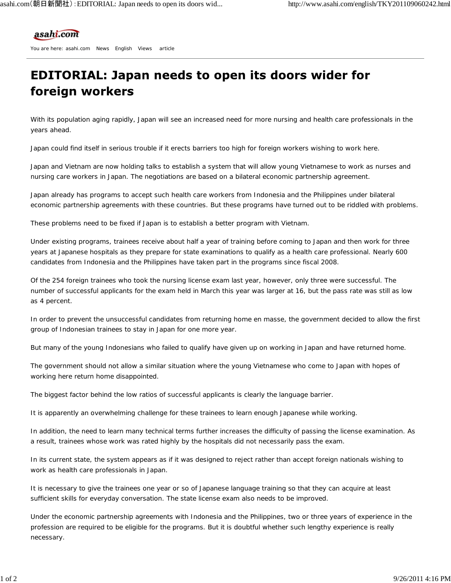## asahi.com

You are here: asahi.com News English Views article

## **EDITORIAL: Japan needs to open its doors wider for** foreign workers

With its population aging rapidly, Japan will see an increased need for more nursing and health care professionals in the years ahead.

Japan could find itself in serious trouble if it erects barriers too high for foreign workers wishing to work here.

Japan and Vietnam are now holding talks to establish a system that will allow young Vietnamese to work as nurses and nursing care workers in Japan. The negotiations are based on a bilateral economic partnership agreement.

Japan already has programs to accept such health care workers from Indonesia and the Philippines under bilateral economic partnership agreements with these countries. But these programs have turned out to be riddled with problems.

These problems need to be fixed if Japan is to establish a better program with Vietnam.

Under existing programs, trainees receive about half a year of training before coming to Japan and then work for three years at Japanese hospitals as they prepare for state examinations to qualify as a health care professional. Nearly 600 candidates from Indonesia and the Philippines have taken part in the programs since fiscal 2008.

Of the 254 foreign trainees who took the nursing license exam last year, however, only three were successful. The number of successful applicants for the exam held in March this year was larger at 16, but the pass rate was still as low as 4 percent.

In order to prevent the unsuccessful candidates from returning home en masse, the government decided to allow the first group of Indonesian trainees to stay in Japan for one more year.

But many of the young Indonesians who failed to qualify have given up on working in Japan and have returned home.

The government should not allow a similar situation where the young Vietnamese who come to Japan with hopes of working here return home disappointed.

The biggest factor behind the low ratios of successful applicants is clearly the language barrier.

It is apparently an overwhelming challenge for these trainees to learn enough Japanese while working.

In addition, the need to learn many technical terms further increases the difficulty of passing the license examination. As a result, trainees whose work was rated highly by the hospitals did not necessarily pass the exam.

In its current state, the system appears as if it was designed to reject rather than accept foreign nationals wishing to work as health care professionals in Japan.

It is necessary to give the trainees one year or so of Japanese language training so that they can acquire at least sufficient skills for everyday conversation. The state license exam also needs to be improved.

Under the economic partnership agreements with Indonesia and the Philippines, two or three years of experience in the profession are required to be eligible for the programs. But it is doubtful whether such lengthy experience is really necessary.